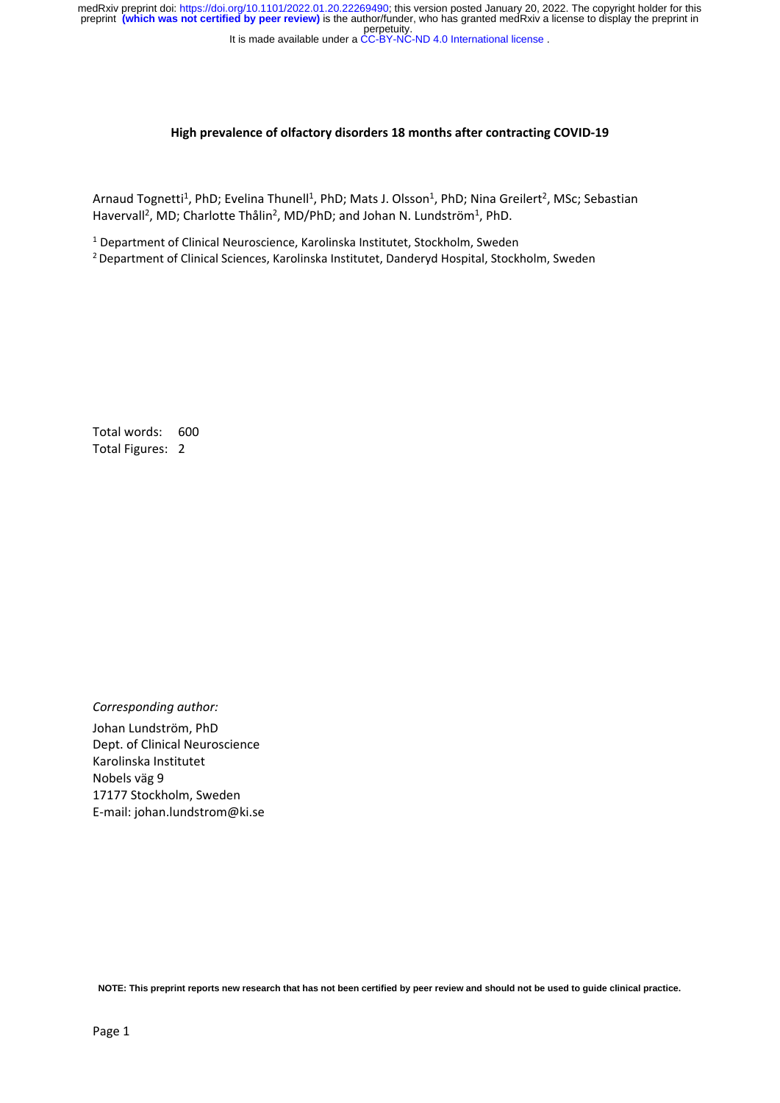perpetuity. medRxiv preprint doi: [https://doi.org/10.1101/2022.01.20.22269490;](https://doi.org/10.1101/2022.01.20.22269490) this version posted January 20, 2022. The copyright holder for this<br>preprint (which was not certified by peer review) is the author/funder, who has granted

It is made available under a CC-BY-NC-ND 4.0 International license.

#### **High prevalence of olfactory disorders 18 months after contracting COVID‐19**

Arnaud Tognetti<sup>1</sup>, PhD; Evelina Thunell<sup>1</sup>, PhD; Mats J. Olsson<sup>1</sup>, PhD; Nina Greilert<sup>2</sup>, MSc; Sebastian Havervall<sup>2</sup>, MD; Charlotte Thålin<sup>2</sup>, MD/PhD; and Johan N. Lundström<sup>1</sup>, PhD.

<sup>1</sup> Department of Clinical Neuroscience, Karolinska Institutet, Stockholm, Sweden

2 Department of Clinical Sciences, Karolinska Institutet, Danderyd Hospital, Stockholm, Sweden

Total words: 600 Total Figures: 2

*Corresponding author:*  Johan Lundström, PhD Dept. of Clinical Neuroscience Karolinska Institutet Nobels väg 9 17177 Stockholm, Sweden E‐mail: johan.lundstrom@ki.se

**NOTE: This preprint reports new research that has not been certified by peer review and should not be used to guide clinical practice.**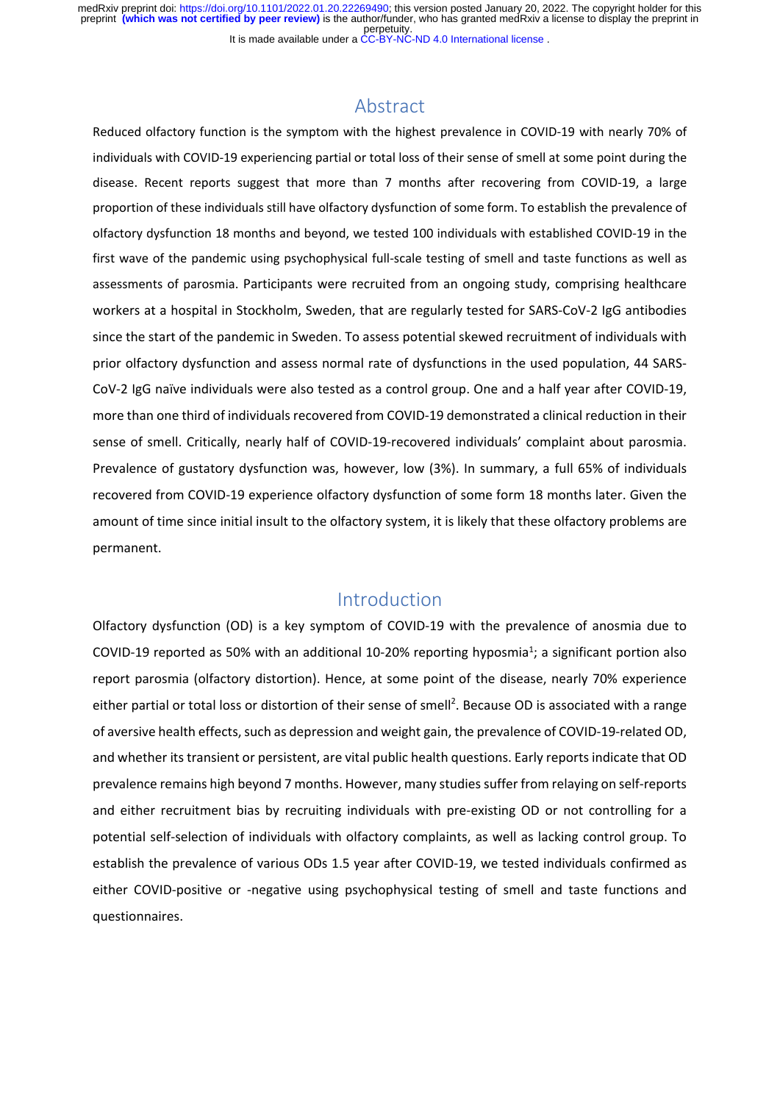It is made available under a CC-BY-NC-ND 4.0 International license. perpetuity. medRxiv preprint doi: [https://doi.org/10.1101/2022.01.20.22269490;](https://doi.org/10.1101/2022.01.20.22269490) this version posted January 20, 2022. The copyright holder for this<br>preprint (which was not certified by peer review) is the author/funder, who has granted

### Abstract

Reduced olfactory function is the symptom with the highest prevalence in COVID‐19 with nearly 70% of individuals with COVID‐19 experiencing partial or total loss of their sense of smell at some point during the disease. Recent reports suggest that more than 7 months after recovering from COVID‐19, a large proportion of these individuals still have olfactory dysfunction of some form. To establish the prevalence of olfactory dysfunction 18 months and beyond, we tested 100 individuals with established COVID‐19 in the first wave of the pandemic using psychophysical full-scale testing of smell and taste functions as well as assessments of parosmia. Participants were recruited from an ongoing study, comprising healthcare workers at a hospital in Stockholm, Sweden, that are regularly tested for SARS-CoV-2 IgG antibodies since the start of the pandemic in Sweden. To assess potential skewed recruitment of individuals with prior olfactory dysfunction and assess normal rate of dysfunctions in the used population, 44 SARS‐ CoV‐2 IgG naïve individuals were also tested as a control group. One and a half year after COVID‐19, more than one third of individuals recovered from COVID‐19 demonstrated a clinical reduction in their sense of smell. Critically, nearly half of COVID-19-recovered individuals' complaint about parosmia. Prevalence of gustatory dysfunction was, however, low (3%). In summary, a full 65% of individuals recovered from COVID‐19 experience olfactory dysfunction of some form 18 months later. Given the amount of time since initial insult to the olfactory system, it is likely that these olfactory problems are permanent.

### Introduction

Olfactory dysfunction (OD) is a key symptom of COVID‐19 with the prevalence of anosmia due to COVID-19 reported as 50% with an additional 10-20% reporting hyposmia<sup>1</sup>; a significant portion also report parosmia (olfactory distortion). Hence, at some point of the disease, nearly 70% experience either partial or total loss or distortion of their sense of smell<sup>2</sup>. Because OD is associated with a range of aversive health effects, such as depression and weight gain, the prevalence of COVID‐19‐related OD, and whether its transient or persistent, are vital public health questions. Early reports indicate that OD prevalence remains high beyond 7 months. However, many studies suffer from relaying on self‐reports and either recruitment bias by recruiting individuals with pre-existing OD or not controlling for a potential self‐selection of individuals with olfactory complaints, as well as lacking control group. To establish the prevalence of various ODs 1.5 year after COVID‐19, we tested individuals confirmed as either COVID-positive or -negative using psychophysical testing of smell and taste functions and questionnaires.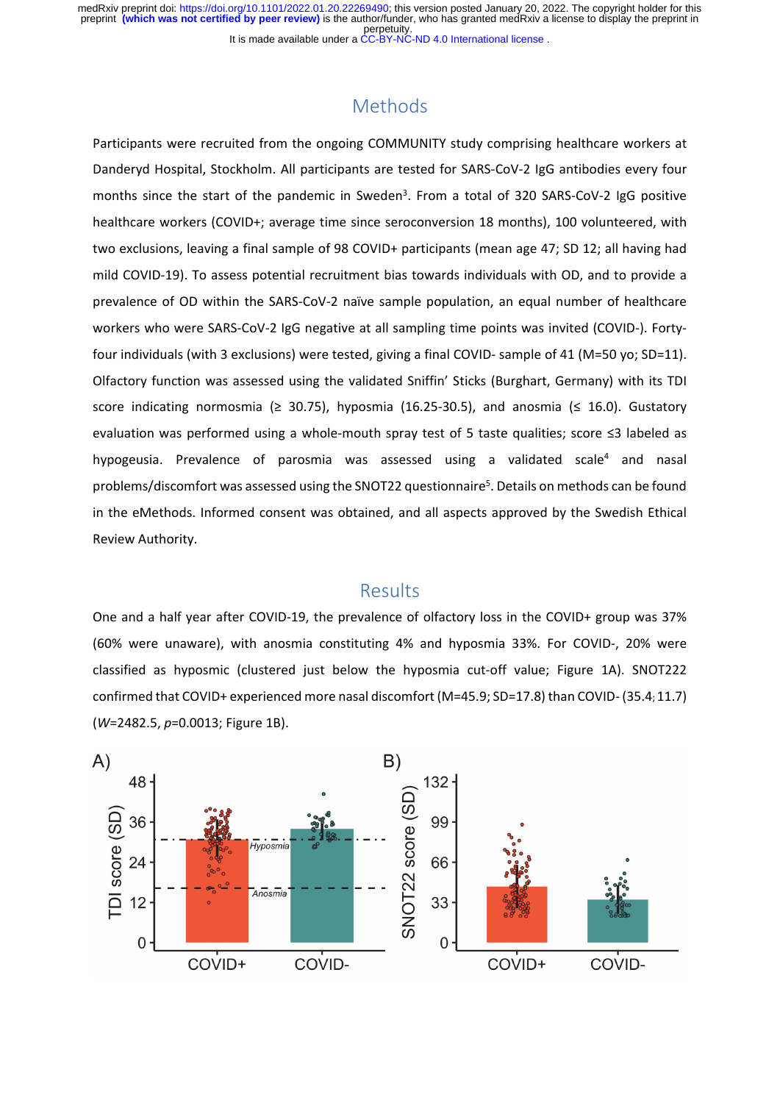## Methods

Participants were recruited from the ongoing COMMUNITY study comprising healthcare workers at Danderyd Hospital, Stockholm. All participants are tested for SARS‐CoV‐2 IgG antibodies every four months since the start of the pandemic in Sweden<sup>3</sup>. From a total of 320 SARS-CoV-2 IgG positive healthcare workers (COVID+; average time since seroconversion 18 months), 100 volunteered, with two exclusions, leaving a final sample of 98 COVID+ participants (mean age 47; SD 12; all having had mild COVID‐19). To assess potential recruitment bias towards individuals with OD, and to provide a prevalence of OD within the SARS-CoV-2 naïve sample population, an equal number of healthcare workers who were SARS-CoV-2 IgG negative at all sampling time points was invited (COVID-). Fortyfour individuals (with 3 exclusions) were tested, giving a final COVID‐ sample of 41 (M=50 yo; SD=11). Olfactory function was assessed using the validated Sniffin' Sticks (Burghart, Germany) with its TDI score indicating normosmia  $(≥ 30.75)$ , hyposmia  $(16.25-30.5)$ , and anosmia  $(≤ 16.0)$ . Gustatory evaluation was performed using a whole-mouth spray test of 5 taste qualities; score ≤3 labeled as hypogeusia. Prevalence of parosmia was assessed using a validated scale<sup>4</sup> and nasal problems/discomfort was assessed using the SNOT22 questionnaire<sup>5</sup>. Details on methods can be found in the eMethods. Informed consent was obtained, and all aspects approved by the Swedish Ethical Review Authority.

### Results

One and a half year after COVID‐19, the prevalence of olfactory loss in the COVID+ group was 37% (60% were unaware), with anosmia constituting 4% and hyposmia 33%. For COVID‐, 20% were classified as hyposmic (clustered just below the hyposmia cut-off value; Figure 1A). SNOT222 confirmed that COVID+ experienced more nasal discomfort (M=45.9; SD=17.8) than COVID‐ (35.4; 11.7) (*W*=2482.5, *p*=0.0013; Figure 1B).

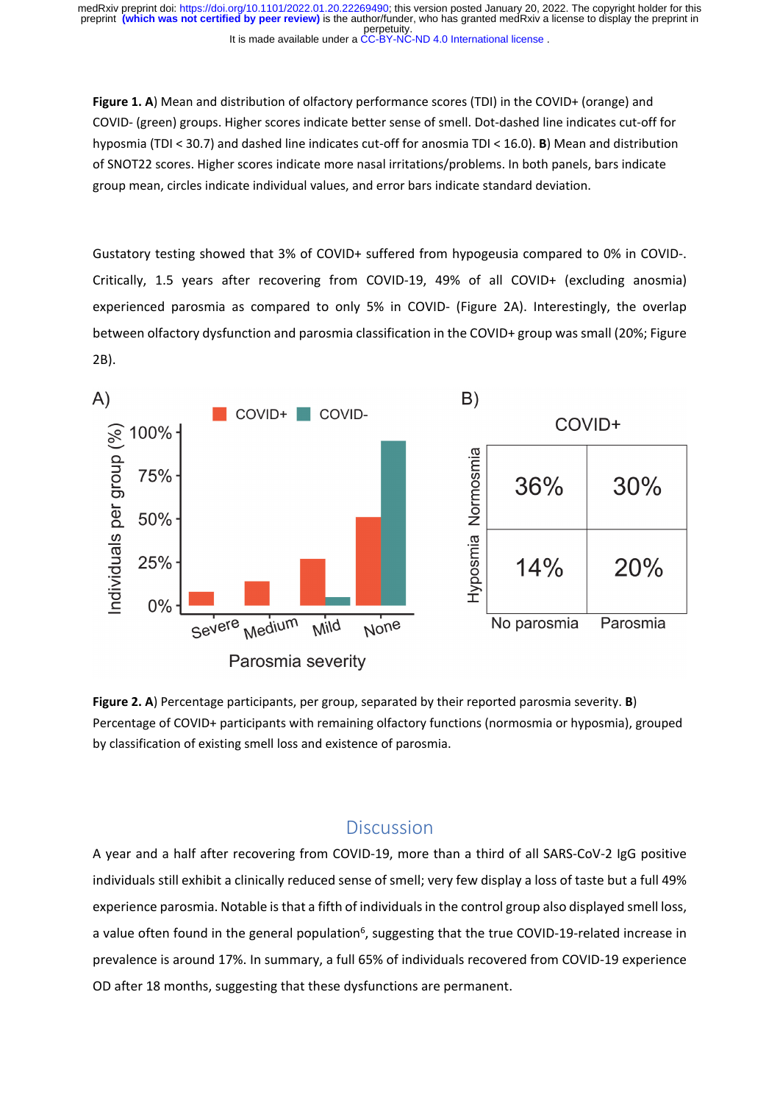**Figure 1. A**) Mean and distribution of olfactory performance scores (TDI) in the COVID+ (orange) and COVID‐ (green) groups. Higher scores indicate better sense of smell. Dot‐dashed line indicates cut‐off for hyposmia (TDI < 30.7) and dashed line indicates cut‐off for anosmia TDI < 16.0). **B**) Mean and distribution of SNOT22 scores. Higher scores indicate more nasal irritations/problems. In both panels, bars indicate group mean, circles indicate individual values, and error bars indicate standard deviation.

Gustatory testing showed that 3% of COVID+ suffered from hypogeusia compared to 0% in COVID‐. Critically, 1.5 years after recovering from COVID‐19, 49% of all COVID+ (excluding anosmia) experienced parosmia as compared to only 5% in COVID- (Figure 2A). Interestingly, the overlap between olfactory dysfunction and parosmia classification in the COVID+ group was small (20%; Figure 2B).



**Figure 2. A**) Percentage participants, per group, separated by their reported parosmia severity. **B**) Percentage of COVID+ participants with remaining olfactory functions (normosmia or hyposmia), grouped by classification of existing smell loss and existence of parosmia.

### **Discussion**

A year and a half after recovering from COVID‐19, more than a third of all SARS‐CoV‐2 IgG positive individuals still exhibit a clinically reduced sense of smell; very few display a loss of taste but a full 49% experience parosmia. Notable is that a fifth of individuals in the control group also displayed smell loss, a value often found in the general population<sup>6</sup>, suggesting that the true COVID-19-related increase in prevalence is around 17%. In summary, a full 65% of individuals recovered from COVID‐19 experience OD after 18 months, suggesting that these dysfunctions are permanent.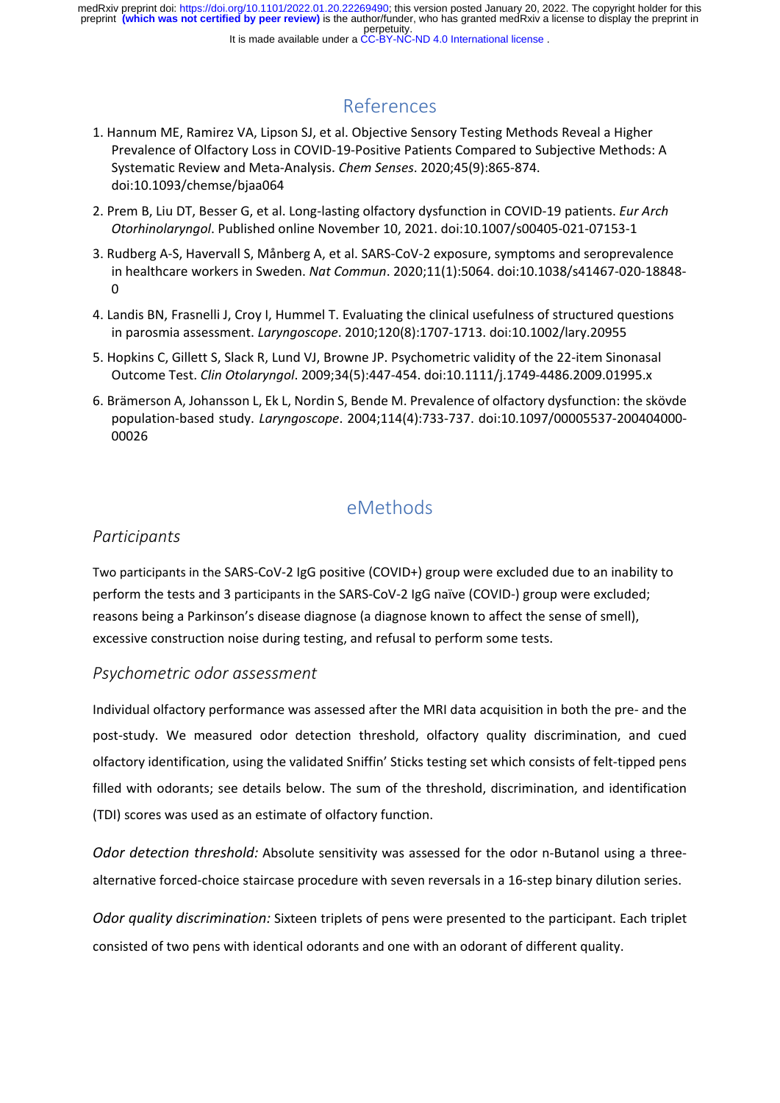# References

- 1. Hannum ME, Ramirez VA, Lipson SJ, et al. Objective Sensory Testing Methods Reveal a Higher Prevalence of Olfactory Loss in COVID‐19‐Positive Patients Compared to Subjective Methods: A Systematic Review and Meta‐Analysis. *Chem Senses*. 2020;45(9):865‐874. doi:10.1093/chemse/bjaa064
- 2. Prem B, Liu DT, Besser G, et al. Long‐lasting olfactory dysfunction in COVID‐19 patients. *Eur Arch Otorhinolaryngol*. Published online November 10, 2021. doi:10.1007/s00405‐021‐07153‐1
- 3. Rudberg A‐S, Havervall S, Månberg A, et al. SARS‐CoV‐2 exposure, symptoms and seroprevalence in healthcare workers in Sweden. *Nat Commun*. 2020;11(1):5064. doi:10.1038/s41467‐020‐18848‐  $\Omega$
- 4. Landis BN, Frasnelli J, Croy I, Hummel T. Evaluating the clinical usefulness of structured questions in parosmia assessment. *Laryngoscope*. 2010;120(8):1707‐1713. doi:10.1002/lary.20955
- 5. Hopkins C, Gillett S, Slack R, Lund VJ, Browne JP. Psychometric validity of the 22-item Sinonasal Outcome Test. *Clin Otolaryngol*. 2009;34(5):447‐454. doi:10.1111/j.1749‐4486.2009.01995.x
- 6. Brämerson A, Johansson L, Ek L, Nordin S, Bende M. Prevalence of olfactory dysfunction: the skövde population‐based study. *Laryngoscope*. 2004;114(4):733‐737. doi:10.1097/00005537‐200404000‐ 00026

# eMethods

### *Participants*

Two participants in the SARS‐CoV‐2 IgG positive (COVID+) group were excluded due to an inability to perform the tests and 3 participants in the SARS-CoV-2 IgG naïve (COVID-) group were excluded; reasons being a Parkinson's disease diagnose (a diagnose known to affect the sense of smell), excessive construction noise during testing, and refusal to perform some tests.

#### *Psychometric odor assessment*

Individual olfactory performance was assessed after the MRI data acquisition in both the pre‐ and the post-study. We measured odor detection threshold, olfactory quality discrimination, and cued olfactory identification, using the validated Sniffin' Sticks testing set which consists of felt‐tipped pens filled with odorants; see details below. The sum of the threshold, discrimination, and identification (TDI) scores was used as an estimate of olfactory function.

*Odor detection threshold:* Absolute sensitivity was assessed for the odor n‐Butanol using a three‐ alternative forced‐choice staircase procedure with seven reversals in a 16‐step binary dilution series.

*Odor quality discrimination:* Sixteen triplets of pens were presented to the participant. Each triplet consisted of two pens with identical odorants and one with an odorant of different quality.